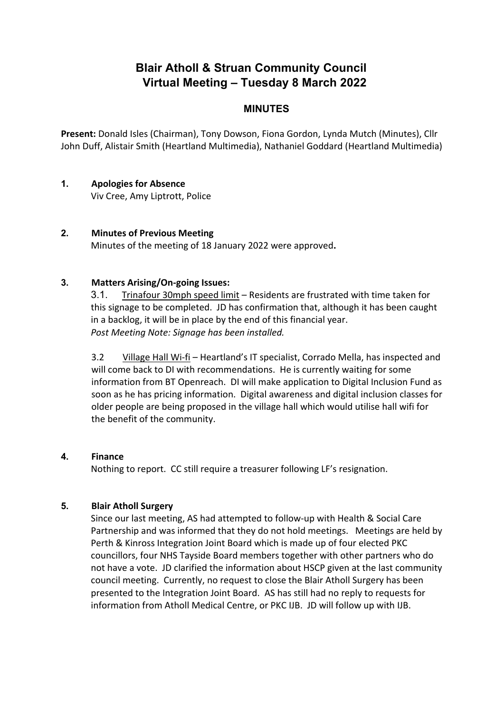# **Blair Atholl & Struan Community Council Virtual Meeting – Tuesday 8 March 2022**

# **MINUTES**

**Present:** Donald Isles (Chairman), Tony Dowson, Fiona Gordon, Lynda Mutch (Minutes), Cllr John Duff, Alistair Smith (Heartland Multimedia), Nathaniel Goddard (Heartland Multimedia)

# **1. Apologies for Absence**

Viv Cree, Amy Liptrott, Police

## **2. Minutes of Previous Meeting**

Minutes of the meeting of 18 January 2022 were approved**.** 

#### **3. Matters Arising/On-going Issues:**

3.1. Trinafour 30mph speed limit – Residents are frustrated with time taken for this signage to be completed. JD has confirmation that, although it has been caught in a backlog, it will be in place by the end of this financial year. *Post Meeting Note: Signage has been installed.*

3.2 Village Hall Wi-fi – Heartland's IT specialist, Corrado Mella, has inspected and will come back to DI with recommendations. He is currently waiting for some information from BT Openreach. DI will make application to Digital Inclusion Fund as soon as he has pricing information. Digital awareness and digital inclusion classes for older people are being proposed in the village hall which would utilise hall wifi for the benefit of the community.

#### **4. Finance**

Nothing to report. CC still require a treasurer following LF's resignation.

#### **5. Blair Atholl Surgery**

Since our last meeting, AS had attempted to follow-up with Health & Social Care Partnership and was informed that they do not hold meetings. Meetings are held by Perth & Kinross Integration Joint Board which is made up of four elected PKC councillors, four NHS Tayside Board members together with other partners who do not have a vote. JD clarified the information about HSCP given at the last community council meeting. Currently, no request to close the Blair Atholl Surgery has been presented to the Integration Joint Board. AS has still had no reply to requests for information from Atholl Medical Centre, or PKC IJB. JD will follow up with IJB.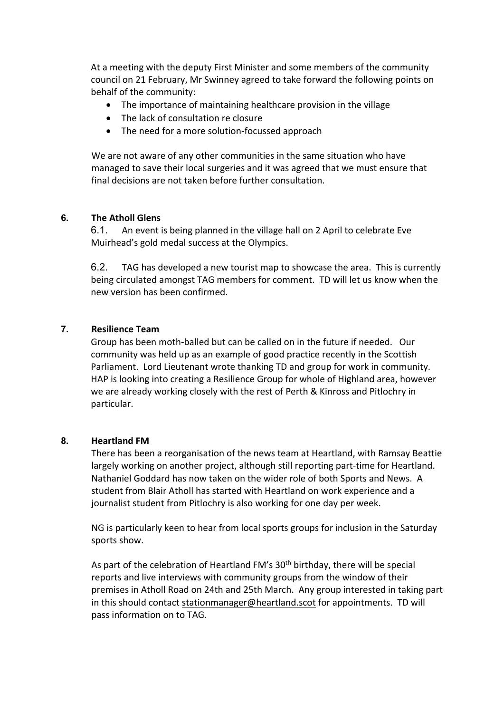At a meeting with the deputy First Minister and some members of the community council on 21 February, Mr Swinney agreed to take forward the following points on behalf of the community:

- The importance of maintaining healthcare provision in the village
- The lack of consultation re closure
- The need for a more solution-focussed approach

We are not aware of any other communities in the same situation who have managed to save their local surgeries and it was agreed that we must ensure that final decisions are not taken before further consultation.

#### **6. The Atholl Glens**

6.1. An event is being planned in the village hall on 2 April to celebrate Eve Muirhead's gold medal success at the Olympics.

6.2. TAG has developed a new tourist map to showcase the area. This is currently being circulated amongst TAG members for comment. TD will let us know when the new version has been confirmed.

#### **7. Resilience Team**

Group has been moth-balled but can be called on in the future if needed. Our community was held up as an example of good practice recently in the Scottish Parliament. Lord Lieutenant wrote thanking TD and group for work in community. HAP is looking into creating a Resilience Group for whole of Highland area, however we are already working closely with the rest of Perth & Kinross and Pitlochry in particular.

#### **8. Heartland FM**

There has been a reorganisation of the news team at Heartland, with Ramsay Beattie largely working on another project, although still reporting part-time for Heartland. Nathaniel Goddard has now taken on the wider role of both Sports and News. A student from Blair Atholl has started with Heartland on work experience and a journalist student from Pitlochry is also working for one day per week.

NG is particularly keen to hear from local sports groups for inclusion in the Saturday sports show.

As part of the celebration of Heartland FM's 30<sup>th</sup> birthday, there will be special reports and live interviews with community groups from the window of their premises in Atholl Road on 24th and 25th March. Any group interested in taking part in this should contact [stationmanager@heartland.scot](mailto:stationmanager@heartland.scot) for appointments. TD will pass information on to TAG.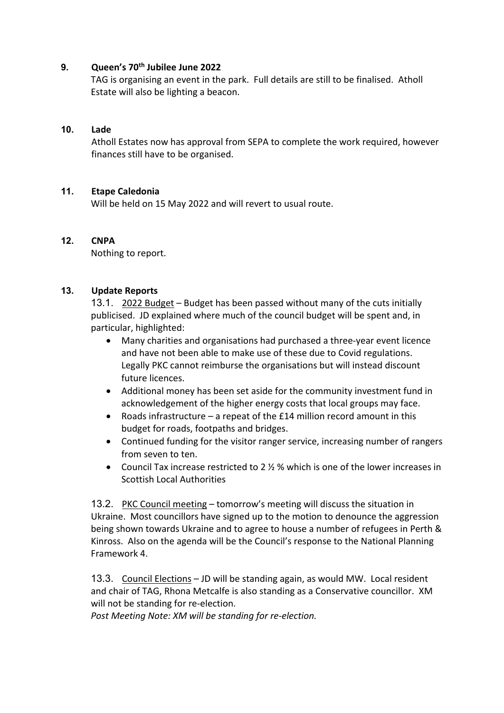## **9. Queen's 70th Jubilee June 2022**

TAG is organising an event in the park. Full details are still to be finalised. Atholl Estate will also be lighting a beacon.

## **10. Lade**

Atholl Estates now has approval from SEPA to complete the work required, however finances still have to be organised.

## **11. Etape Caledonia**

Will be held on 15 May 2022 and will revert to usual route.

## **12. CNPA**

Nothing to report.

## **13. Update Reports**

13.1. 2022 Budget – Budget has been passed without many of the cuts initially publicised. JD explained where much of the council budget will be spent and, in particular, highlighted:

- Many charities and organisations had purchased a three-year event licence and have not been able to make use of these due to Covid regulations. Legally PKC cannot reimburse the organisations but will instead discount future licences.
- Additional money has been set aside for the community investment fund in acknowledgement of the higher energy costs that local groups may face.
- Roads infrastructure a repeat of the £14 million record amount in this budget for roads, footpaths and bridges.
- Continued funding for the visitor ranger service, increasing number of rangers from seven to ten.
- Council Tax increase restricted to 2 ½ % which is one of the lower increases in Scottish Local Authorities

13.2. PKC Council meeting – tomorrow's meeting will discuss the situation in Ukraine. Most councillors have signed up to the motion to denounce the aggression being shown towards Ukraine and to agree to house a number of refugees in Perth & Kinross. Also on the agenda will be the Council's response to the National Planning Framework 4.

13.3. Council Elections – JD will be standing again, as would MW. Local resident and chair of TAG, Rhona Metcalfe is also standing as a Conservative councillor. XM will not be standing for re-election.

*Post Meeting Note: XM will be standing for re-election.*